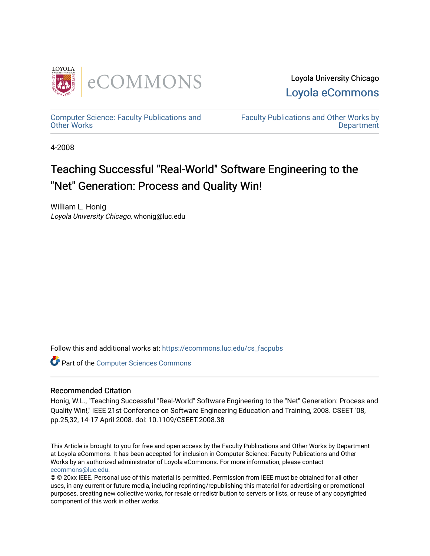

Loyola University Chicago [Loyola eCommons](https://ecommons.luc.edu/) 

[Computer Science: Faculty Publications and](https://ecommons.luc.edu/cs_facpubs) [Other Works](https://ecommons.luc.edu/cs_facpubs)

[Faculty Publications and Other Works by](https://ecommons.luc.edu/faculty)  **Department** 

4-2008

# Teaching Successful "Real-World" Software Engineering to the "Net" Generation: Process and Quality Win!

William L. Honig Loyola University Chicago, whonig@luc.edu

Follow this and additional works at: [https://ecommons.luc.edu/cs\\_facpubs](https://ecommons.luc.edu/cs_facpubs?utm_source=ecommons.luc.edu%2Fcs_facpubs%2F86&utm_medium=PDF&utm_campaign=PDFCoverPages)

**C** Part of the [Computer Sciences Commons](http://network.bepress.com/hgg/discipline/142?utm_source=ecommons.luc.edu%2Fcs_facpubs%2F86&utm_medium=PDF&utm_campaign=PDFCoverPages)

# Recommended Citation

Honig, W.L., "Teaching Successful "Real-World" Software Engineering to the "Net" Generation: Process and Quality Win!," IEEE 21st Conference on Software Engineering Education and Training, 2008. CSEET '08, pp.25,32, 14-17 April 2008. doi: 10.1109/CSEET.2008.38

This Article is brought to you for free and open access by the Faculty Publications and Other Works by Department at Loyola eCommons. It has been accepted for inclusion in Computer Science: Faculty Publications and Other Works by an authorized administrator of Loyola eCommons. For more information, please contact [ecommons@luc.edu](mailto:ecommons@luc.edu).

© © 20xx IEEE. Personal use of this material is permitted. Permission from IEEE must be obtained for all other uses, in any current or future media, including reprinting/republishing this material for advertising or promotional purposes, creating new collective works, for resale or redistribution to servers or lists, or reuse of any copyrighted component of this work in other works.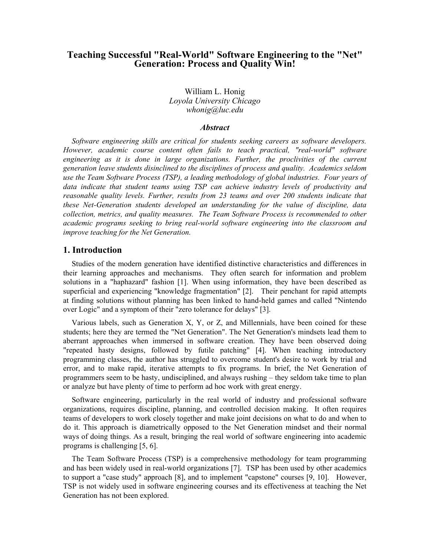# **Teaching Successful "Real-World" Software Engineering to the "Net" Generation: Process and Quality Win!**

William L. Honig *Loyola University Chicago whonig@luc.edu*

## *Abstract*

*Software engineering skills are critical for students seeking careers as software developers. However, academic course content often fails to teach practical, "real-world" software*  engineering as it is done in large organizations. Further, the proclivities of the current *generation leave students disinclined to the disciplines of process and quality. Academics seldom use the Team Software Process (TSP), a leading methodology of global industries. Four years of data indicate that student teams using TSP can achieve industry levels of productivity and reasonable quality levels. Further, results from 23 teams and over 200 students indicate that these Net-Generation students developed an understanding for the value of discipline, data collection, metrics, and quality measures. The Team Software Process is recommended to other academic programs seeking to bring real-world software engineering into the classroom and improve teaching for the Net Generation.* 

# **1. Introduction**

Studies of the modern generation have identified distinctive characteristics and differences in their learning approaches and mechanisms. They often search for information and problem solutions in a "haphazard" fashion [1]. When using information, they have been described as superficial and experiencing "knowledge fragmentation" [2]. Their penchant for rapid attempts at finding solutions without planning has been linked to hand-held games and called "Nintendo over Logic" and a symptom of their "zero tolerance for delays" [3].

Various labels, such as Generation X, Y, or Z, and Millennials, have been coined for these students; here they are termed the "Net Generation". The Net Generation's mindsets lead them to aberrant approaches when immersed in software creation. They have been observed doing "repeated hasty designs, followed by futile patching" [4]. When teaching introductory programming classes, the author has struggled to overcome student's desire to work by trial and error, and to make rapid, iterative attempts to fix programs. In brief, the Net Generation of programmers seem to be hasty, undisciplined, and always rushing – they seldom take time to plan or analyze but have plenty of time to perform ad hoc work with great energy.

Software engineering, particularly in the real world of industry and professional software organizations, requires discipline, planning, and controlled decision making. It often requires teams of developers to work closely together and make joint decisions on what to do and when to do it. This approach is diametrically opposed to the Net Generation mindset and their normal ways of doing things. As a result, bringing the real world of software engineering into academic programs is challenging [5, 6].

The Team Software Process (TSP) is a comprehensive methodology for team programming and has been widely used in real-world organizations [7]. TSP has been used by other academics to support a "case study" approach [8], and to implement "capstone" courses [9, 10]. However, TSP is not widely used in software engineering courses and its effectiveness at teaching the Net Generation has not been explored.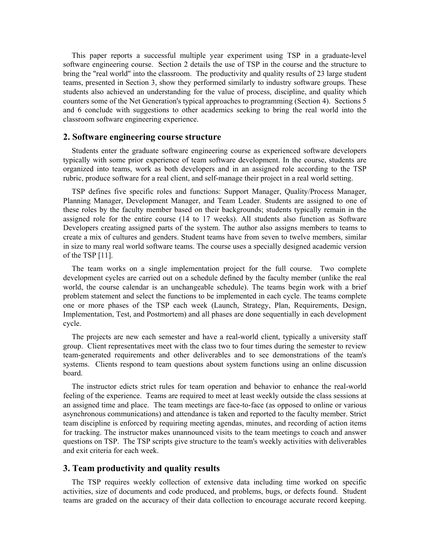This paper reports a successful multiple year experiment using TSP in a graduate-level software engineering course. Section 2 details the use of TSP in the course and the structure to bring the "real world" into the classroom. The productivity and quality results of 23 large student teams, presented in Section 3, show they performed similarly to industry software groups. These students also achieved an understanding for the value of process, discipline, and quality which counters some of the Net Generation's typical approaches to programming (Section 4). Sections 5 and 6 conclude with suggestions to other academics seeking to bring the real world into the classroom software engineering experience.

## **2. Software engineering course structure**

Students enter the graduate software engineering course as experienced software developers typically with some prior experience of team software development. In the course, students are organized into teams, work as both developers and in an assigned role according to the TSP rubric, produce software for a real client, and self-manage their project in a real world setting.

TSP defines five specific roles and functions: Support Manager, Quality/Process Manager, Planning Manager, Development Manager, and Team Leader. Students are assigned to one of these roles by the faculty member based on their backgrounds; students typically remain in the assigned role for the entire course (14 to 17 weeks). All students also function as Software Developers creating assigned parts of the system. The author also assigns members to teams to create a mix of cultures and genders. Student teams have from seven to twelve members, similar in size to many real world software teams. The course uses a specially designed academic version of the TSP [11].

The team works on a single implementation project for the full course. Two complete development cycles are carried out on a schedule defined by the faculty member (unlike the real world, the course calendar is an unchangeable schedule). The teams begin work with a brief problem statement and select the functions to be implemented in each cycle. The teams complete one or more phases of the TSP each week (Launch, Strategy, Plan, Requirements, Design, Implementation, Test, and Postmortem) and all phases are done sequentially in each development cycle.

The projects are new each semester and have a real-world client, typically a university staff group. Client representatives meet with the class two to four times during the semester to review team-generated requirements and other deliverables and to see demonstrations of the team's systems. Clients respond to team questions about system functions using an online discussion board.

The instructor edicts strict rules for team operation and behavior to enhance the real-world feeling of the experience. Teams are required to meet at least weekly outside the class sessions at an assigned time and place. The team meetings are face-to-face (as opposed to online or various asynchronous communications) and attendance is taken and reported to the faculty member. Strict team discipline is enforced by requiring meeting agendas, minutes, and recording of action items for tracking. The instructor makes unannounced visits to the team meetings to coach and answer questions on TSP. The TSP scripts give structure to the team's weekly activities with deliverables and exit criteria for each week.

## **3. Team productivity and quality results**

The TSP requires weekly collection of extensive data including time worked on specific activities, size of documents and code produced, and problems, bugs, or defects found. Student teams are graded on the accuracy of their data collection to encourage accurate record keeping.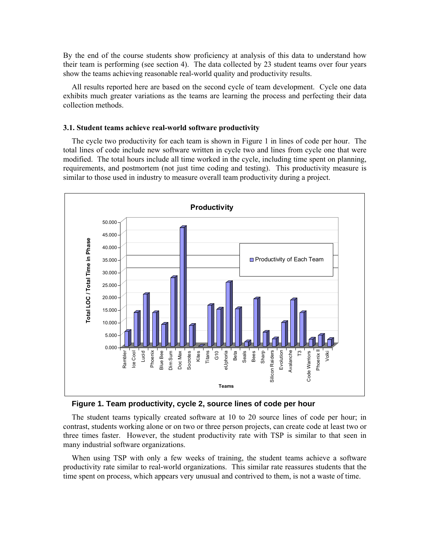By the end of the course students show proficiency at analysis of this data to understand how their team is performing (see section 4). The data collected by 23 student teams over four years show the teams achieving reasonable real-world quality and productivity results.

All results reported here are based on the second cycle of team development. Cycle one data exhibits much greater variations as the teams are learning the process and perfecting their data collection methods.

#### **3.1. Student teams achieve real-world software productivity**

The cycle two productivity for each team is shown in Figure 1 in lines of code per hour. The total lines of code include new software written in cycle two and lines from cycle one that were modified. The total hours include all time worked in the cycle, including time spent on planning, requirements, and postmortem (not just time coding and testing). This productivity measure is similar to those used in industry to measure overall team productivity during a project.



**Figure 1. Team productivity, cycle 2, source lines of code per hour** 

The student teams typically created software at 10 to 20 source lines of code per hour; in contrast, students working alone or on two or three person projects, can create code at least two or three times faster. However, the student productivity rate with TSP is similar to that seen in many industrial software organizations.

When using TSP with only a few weeks of training, the student teams achieve a software productivity rate similar to real-world organizations. This similar rate reassures students that the time spent on process, which appears very unusual and contrived to them, is not a waste of time.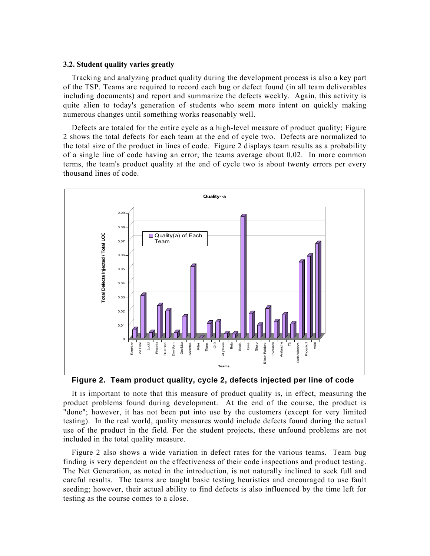#### **3.2. Student quality varies greatly**

Tracking and analyzing product quality during the development process is also a key part of the TSP. Teams are required to record each bug or defect found (in all team deliverables including documents) and report and summarize the defects weekly. Again, this activity is quite alien to today's generation of students who seem more intent on quickly making numerous changes until something works reasonably well.

Defects are totaled for the entire cycle as a high-level measure of product quality; Figure 2 shows the total defects for each team at the end of cycle two. Defects are normalized to the total size of the product in lines of code. Figure 2 displays team results as a probability of a single line of code having an error; the teams average about 0.02. In more common terms, the team's product quality at the end of cycle two is about twenty errors per every thousand lines of code.



**Figure 2. Team product quality, cycle 2, defects injected per line of code** 

It is important to note that this measure of product quality is, in effect, measuring the product problems found during development. At the end of the course, the product is "done"; however, it has not been put into use by the customers (except for very limited testing). In the real world, quality measures would include defects found during the actual use of the product in the field. For the student projects, these unfound problems are not included in the total quality measure.

Figure 2 also shows a wide variation in defect rates for the various teams. Team bug finding is very dependent on the effectiveness of their code inspections and product testing. The Net Generation, as noted in the introduction, is not naturally inclined to seek full and careful results. The teams are taught basic testing heuristics and encouraged to use fault seeding; however, their actual ability to find defects is also influenced by the time left for testing as the course comes to a close.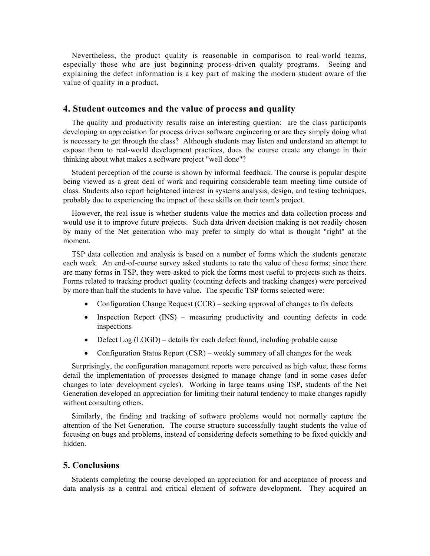Nevertheless, the product quality is reasonable in comparison to real-world teams, especially those who are just beginning process-driven quality programs. Seeing and explaining the defect information is a key part of making the modern student aware of the value of quality in a product.

# **4. Student outcomes and the value of process and quality**

The quality and productivity results raise an interesting question: are the class participants developing an appreciation for process driven software engineering or are they simply doing what is necessary to get through the class? Although students may listen and understand an attempt to expose them to real-world development practices, does the course create any change in their thinking about what makes a software project "well done"?

Student perception of the course is shown by informal feedback. The course is popular despite being viewed as a great deal of work and requiring considerable team meeting time outside of class. Students also report heightened interest in systems analysis, design, and testing techniques, probably due to experiencing the impact of these skills on their team's project.

However, the real issue is whether students value the metrics and data collection process and would use it to improve future projects. Such data driven decision making is not readily chosen by many of the Net generation who may prefer to simply do what is thought "right" at the moment.

TSP data collection and analysis is based on a number of forms which the students generate each week. An end-of-course survey asked students to rate the value of these forms; since there are many forms in TSP, they were asked to pick the forms most useful to projects such as theirs. Forms related to tracking product quality (counting defects and tracking changes) were perceived by more than half the students to have value. The specific TSP forms selected were:

- Configuration Change Request (CCR) seeking approval of changes to fix defects
- Inspection Report (INS) measuring productivity and counting defects in code inspections
- Defect Log (LOGD) details for each defect found, including probable cause
- Configuration Status Report (CSR) weekly summary of all changes for the week

Surprisingly, the configuration management reports were perceived as high value; these forms detail the implementation of processes designed to manage change (and in some cases defer changes to later development cycles). Working in large teams using TSP, students of the Net Generation developed an appreciation for limiting their natural tendency to make changes rapidly without consulting others.

Similarly, the finding and tracking of software problems would not normally capture the attention of the Net Generation. The course structure successfully taught students the value of focusing on bugs and problems, instead of considering defects something to be fixed quickly and hidden.

## **5. Conclusions**

Students completing the course developed an appreciation for and acceptance of process and data analysis as a central and critical element of software development. They acquired an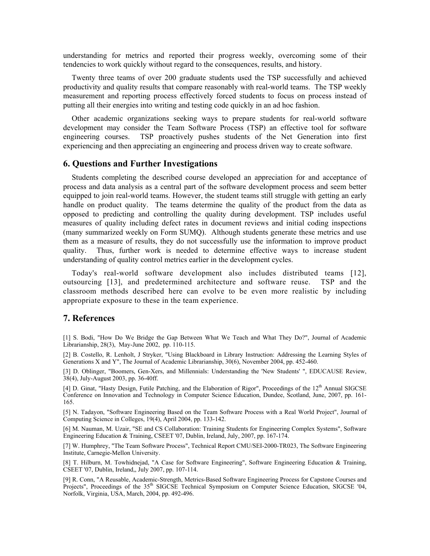understanding for metrics and reported their progress weekly, overcoming some of their tendencies to work quickly without regard to the consequences, results, and history.

Twenty three teams of over 200 graduate students used the TSP successfully and achieved productivity and quality results that compare reasonably with real-world teams. The TSP weekly measurement and reporting process effectively forced students to focus on process instead of putting all their energies into writing and testing code quickly in an ad hoc fashion.

Other academic organizations seeking ways to prepare students for real-world software development may consider the Team Software Process (TSP) an effective tool for software engineering courses. TSP proactively pushes students of the Net Generation into first experiencing and then appreciating an engineering and process driven way to create software.

## **6. Questions and Further Investigations**

Students completing the described course developed an appreciation for and acceptance of process and data analysis as a central part of the software development process and seem better equipped to join real-world teams. However, the student teams still struggle with getting an early handle on product quality. The teams determine the quality of the product from the data as opposed to predicting and controlling the quality during development. TSP includes useful measures of quality including defect rates in document reviews and initial coding inspections (many summarized weekly on Form SUMQ). Although students generate these metrics and use them as a measure of results, they do not successfully use the information to improve product quality. Thus, further work is needed to determine effective ways to increase student understanding of quality control metrics earlier in the development cycles.

Today's real-world software development also includes distributed teams [12], outsourcing [13], and predetermined architecture and software reuse. TSP and the classroom methods described here can evolve to be even more realistic by including appropriate exposure to these in the team experience.

# **7. References**

[1] S. Bodi, "How Do We Bridge the Gap Between What We Teach and What They Do?", Journal of Academic Librarianship, 28(3), May-June 2002, pp. 110-115.

[2] B. Costello, R. Lenholt, J Stryker, "Using Blackboard in Library Instruction: Addressing the Learning Styles of Generations X and Y", The Journal of Academic Librarianship, 30(6), November 2004, pp. 452-460.

[3] D. Oblinger, "Boomers, Gen-Xers, and Millennials: Understanding the 'New Students' ", EDUCAUSE Review, 38(4), July-August 2003, pp. 36-40ff.

[4] D. Ginat, "Hasty Design, Futile Patching, and the Elaboration of Rigor", Proceedings of the 12<sup>th</sup> Annual SIGCSE Conference on Innovation and Technology in Computer Science Education, Dundee, Scotland, June, 2007, pp. 161- 165.

[5] N. Tadayon, "Software Engineering Based on the Team Software Process with a Real World Project", Journal of Computing Science in Colleges, 19(4), April 2004, pp. 133-142.

[6] M. Nauman, M. Uzair, "SE and CS Collaboration: Training Students for Engineering Complex Systems", Software Engineering Education & Training, CSEET '07, Dublin, Ireland, July, 2007, pp. 167-174.

[7] W. Humphrey, "The Team Software Process", Technical Report CMU/SEI-2000-TR023, The Software Engineering Institute, Carnegie-Mellon University.

[8] T. Hilburn, M. Towhidnejad, "A Case for Software Engineering", Software Engineering Education & Training, CSEET '07, Dublin, Ireland,, July 2007, pp. 107-114.

[9] R. Conn, "A Reusable, Academic-Strength, Metrics-Based Software Engineering Process for Capstone Courses and Projects", Proceedings of the 35<sup>th</sup> SIGCSE Technical Symposium on Computer Science Education, SIGCSE '04, Norfolk, Virginia, USA, March, 2004, pp. 492-496.